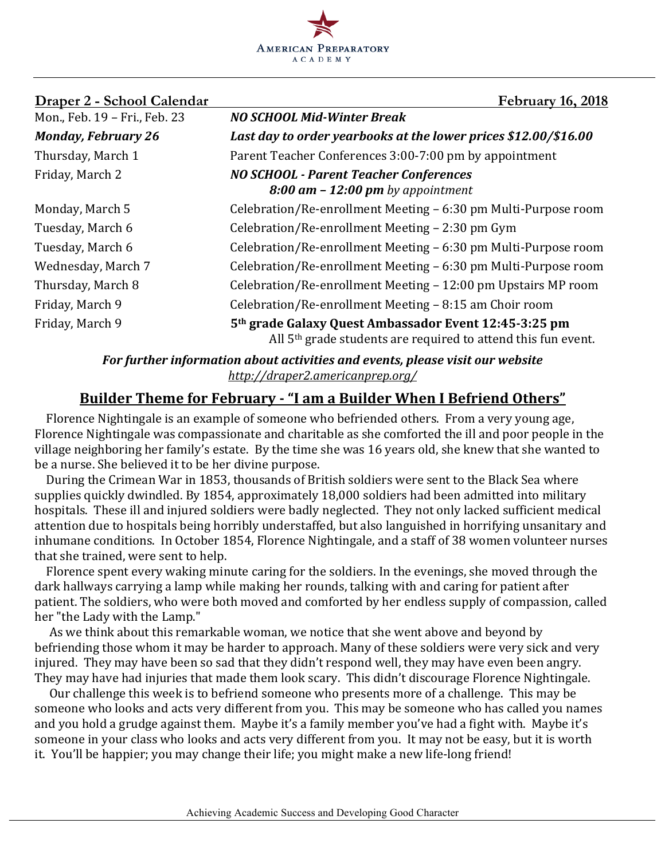

| Draper 2 - School Calendar    | <b>February 16, 2018</b>                                                                                                           |
|-------------------------------|------------------------------------------------------------------------------------------------------------------------------------|
| Mon., Feb. 19 - Fri., Feb. 23 | <b>NO SCHOOL Mid-Winter Break</b>                                                                                                  |
| <b>Monday, February 26</b>    | Last day to order yearbooks at the lower prices \$12.00/\$16.00                                                                    |
| Thursday, March 1             | Parent Teacher Conferences 3:00-7:00 pm by appointment                                                                             |
| Friday, March 2               | <b>NO SCHOOL - Parent Teacher Conferences</b><br>$8:00$ am $-12:00$ pm by appointment                                              |
| Monday, March 5               | Celebration/Re-enrollment Meeting – 6:30 pm Multi-Purpose room                                                                     |
| Tuesday, March 6              | Celebration/Re-enrollment Meeting – 2:30 pm Gym                                                                                    |
| Tuesday, March 6              | Celebration/Re-enrollment Meeting – 6:30 pm Multi-Purpose room                                                                     |
| Wednesday, March 7            | Celebration/Re-enrollment Meeting - 6:30 pm Multi-Purpose room                                                                     |
| Thursday, March 8             | Celebration/Re-enrollment Meeting - 12:00 pm Upstairs MP room                                                                      |
| Friday, March 9               | Celebration/Re-enrollment Meeting - 8:15 am Choir room                                                                             |
| Friday, March 9               | 5th grade Galaxy Quest Ambassador Event 12:45-3:25 pm<br>All 5 <sup>th</sup> grade students are required to attend this fun event. |

For further information about activities and events, please visit our website *http://draper2.americanprep.org/*

# **Builder Theme for February - "I am a Builder When I Befriend Others"**

Florence Nightingale is an example of someone who befriended others. From a very young age, Florence Nightingale was compassionate and charitable as she comforted the ill and poor people in the village neighboring her family's estate. By the time she was 16 years old, she knew that she wanted to be a nurse. She believed it to be her divine purpose.

During the Crimean War in 1853, thousands of British soldiers were sent to the Black Sea where supplies quickly dwindled. By 1854, approximately 18,000 soldiers had been admitted into military hospitals. These ill and injured soldiers were badly neglected. They not only lacked sufficient medical attention due to hospitals being horribly understaffed, but also languished in horrifying unsanitary and inhumane conditions. In October 1854, Florence Nightingale, and a staff of 38 women volunteer nurses that she trained, were sent to help.

Florence spent every waking minute caring for the soldiers. In the evenings, she moved through the dark hallways carrying a lamp while making her rounds, talking with and caring for patient after patient. The soldiers, who were both moved and comforted by her endless supply of compassion, called her "the Lady with the Lamp."

As we think about this remarkable woman, we notice that she went above and beyond by befriending those whom it may be harder to approach. Many of these soldiers were very sick and very injured. They may have been so sad that they didn't respond well, they may have even been angry. They may have had injuries that made them look scary. This didn't discourage Florence Nightingale.

Our challenge this week is to befriend someone who presents more of a challenge. This may be someone who looks and acts very different from you. This may be someone who has called you names and you hold a grudge against them. Maybe it's a family member you've had a fight with. Maybe it's someone in your class who looks and acts very different from you. It may not be easy, but it is worth it. You'll be happier; you may change their life; you might make a new life-long friend!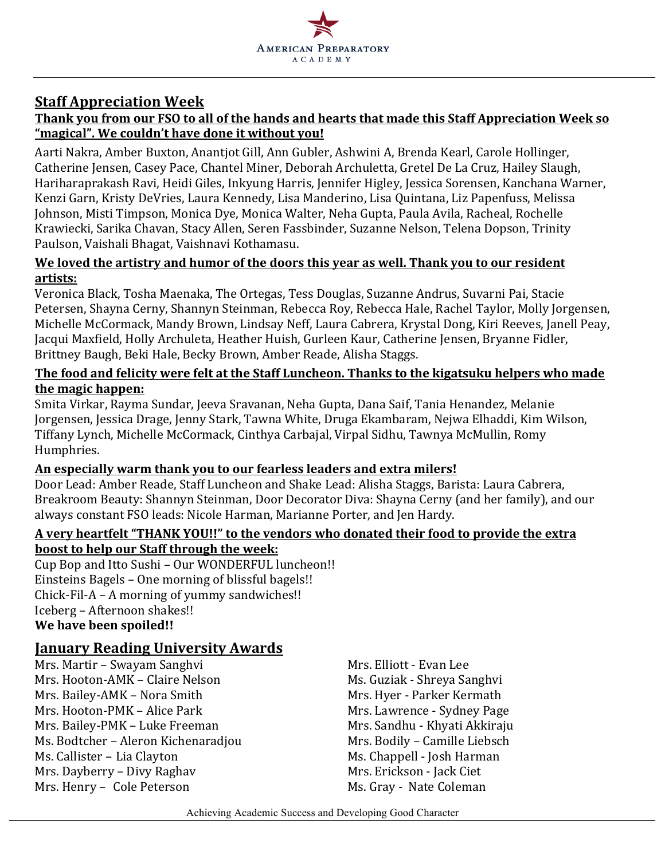

## **Staff Appreciation Week**

### Thank you from our FSO to all of the hands and hearts that made this Staff Appreciation Week so "magical". We couldn't have done it without you!

Aarti Nakra, Amber Buxton, Anantjot Gill, Ann Gubler, Ashwini A, Brenda Kearl, Carole Hollinger, Catherine Jensen, Casey Pace, Chantel Miner, Deborah Archuletta, Gretel De La Cruz, Hailey Slaugh, Hariharaprakash Ravi, Heidi Giles, Inkyung Harris, Jennifer Higley, Jessica Sorensen, Kanchana Warner, Kenzi Garn, Kristy DeVries, Laura Kennedy, Lisa Manderino, Lisa Quintana, Liz Papenfuss, Melissa Johnson, Misti Timpson, Monica Dye, Monica Walter, Neha Gupta, Paula Avila, Racheal, Rochelle Krawiecki, Sarika Chavan, Stacy Allen, Seren Fassbinder, Suzanne Nelson, Telena Dopson, Trinity Paulson, Vaishali Bhagat, Vaishnavi Kothamasu.

#### We loved the artistry and humor of the doors this year as well. Thank you to our resident **artists:**

Veronica Black, Tosha Maenaka, The Ortegas, Tess Douglas, Suzanne Andrus, Suvarni Pai, Stacie Petersen, Shayna Cerny, Shannyn Steinman, Rebecca Roy, Rebecca Hale, Rachel Taylor, Molly Jorgensen, Michelle McCormack, Mandy Brown, Lindsay Neff, Laura Cabrera, Krystal Dong, Kiri Reeves, Janell Peay, Jacqui Maxfield, Holly Archuleta, Heather Huish, Gurleen Kaur, Catherine Jensen, Bryanne Fidler, Brittney Baugh, Beki Hale, Becky Brown, Amber Reade, Alisha Staggs.

### The food and felicity were felt at the Staff Luncheon. Thanks to the kigatsuku helpers who made **the magic happen:**

Smita Virkar, Rayma Sundar, Jeeva Sravanan, Neha Gupta, Dana Saif, Tania Henandez, Melanie Jorgensen, Jessica Drage, Jenny Stark, Tawna White, Druga Ekambaram, Nejwa Elhaddi, Kim Wilson, Tiffany Lynch, Michelle McCormack, Cinthya Carbajal, Virpal Sidhu, Tawnya McMullin, Romy Humphries.

## An especially warm thank you to our fearless leaders and extra milers!

Door Lead: Amber Reade, Staff Luncheon and Shake Lead: Alisha Staggs, Barista: Laura Cabrera, Breakroom Beauty: Shannyn Steinman, Door Decorator Diva: Shayna Cerny (and her family), and our always constant FSO leads: Nicole Harman, Marianne Porter, and Jen Hardy.

#### A very heartfelt "THANK YOU!!" to the vendors who donated their food to provide the extra **boost to help our Staff through the week:**

Cup Bop and Itto Sushi - Our WONDERFUL luncheon!! Einsteins Bagels – One morning of blissful bagels!! Chick-Fil-A – A morning of yummy sandwiches!! Iceberg - Afternoon shakes!! We have been spoiled!!

## **January Reading University Awards**

Mrs. Martir – Swayam Sanghvi Mrs. Elliott - Evan Lee Mrs. Hooton-AMK – Claire Nelson Ms. Guziak - Shreya Sanghvi Mrs. Bailey-AMK – Nora Smith Mrs. Hyer - Parker Kermath Mrs. Hooton-PMK – Alice Park Mrs. Lawrence - Sydney Page Mrs. Bailey-PMK – Luke Freeman Mrs. Sandhu - Khyati Akkiraju Ms. Bodtcher – Aleron Kichenaradjou Mrs. Bodily – Camille Liebsch Ms. Callister – Lia Clayton **Ms. Chappell** - Josh Harman Mrs. Dayberry – Divy Raghav Mrs. Erickson - Jack Ciet Mrs. Henry - Cole Peterson Mrs. Gray - Nate Coleman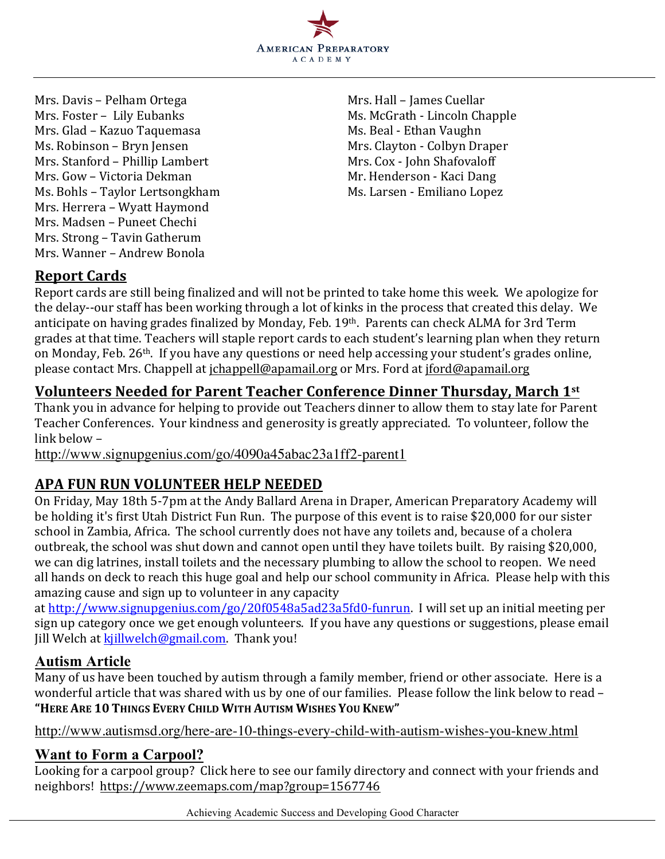

Mrs. Davis – Pelham Ortega Mrs. Hall – James Cuellar Mrs. Foster - Lily Eubanks Mrs. McGrath - Lincoln Chapple Mrs. Glad - Kazuo Taquemasa Ms. Beal - Ethan Vaughn Ms. Robinson – Bryn Jensen Mrs. Clayton - Colbyn Draper Mrs. Stanford – Phillip Lambert Mrs. Cox - John Shafovaloff Mrs. Gow – Victoria Dekman Music Company Mr. Henderson - Kaci Dang Ms. Bohls – Taylor Lertsongkham Ms. Larsen - Emiliano Lopez Mrs. Herrera - Wyatt Haymond Mrs. Madsen - Puneet Chechi Mrs. Strong – Tavin Gatherum Mrs. Wanner – Andrew Bonola

# **Report Cards**

Report cards are still being finalized and will not be printed to take home this week. We apologize for the delay--our staff has been working through a lot of kinks in the process that created this delay. We anticipate on having grades finalized by Monday, Feb. 19th. Parents can check ALMA for 3rd Term grades at that time. Teachers will staple report cards to each student's learning plan when they return on Monday, Feb. 26<sup>th</sup>. If you have any questions or need help accessing your student's grades online, please contact Mrs. Chappell at jchappell@apamail.org or Mrs. Ford at jford@apamail.org

# **<u>Volunteers Needed for Parent Teacher Conference Dinner Thursday, March 1st</u>**

Thank you in advance for helping to provide out Teachers dinner to allow them to stay late for Parent Teacher Conferences. Your kindness and generosity is greatly appreciated. To volunteer, follow the link helow  $-$ 

http://www.signupgenius.com/go/4090a45abac23a1ff2-parent1

# **APA FUN RUN VOLUNTEER HELP NEEDED**

On Friday, May 18th 5-7pm at the Andy Ballard Arena in Draper, American Preparatory Academy will be holding it's first Utah District Fun Run. The purpose of this event is to raise \$20,000 for our sister school in Zambia, Africa. The school currently does not have any toilets and, because of a cholera outbreak, the school was shut down and cannot open until they have toilets built. By raising \$20,000, we can dig latrines, install toilets and the necessary plumbing to allow the school to reopen. We need all hands on deck to reach this huge goal and help our school community in Africa. Please help with this amazing cause and sign up to volunteer in any capacity

at http://www.signupgenius.com/go/20f0548a5ad23a5fd0-funrun. I will set up an initial meeting per sign up category once we get enough volunteers. If you have any questions or suggestions, please email Jill Welch at kjillwelch@gmail.com. Thank you!

## **Autism Article**

Many of us have been touched by autism through a family member, friend or other associate. Here is a wonderful article that was shared with us by one of our families. Please follow the link below to read -**"HERE ARE 10 THINGS EVERY CHILD WITH AUTISM WISHES YOU KNEW"**

http://www.autismsd.org/here-are-10-things-every-child-with-autism-wishes-you-knew.html

## **Want to Form a Carpool?**

Looking for a carpool group? Click here to see our family directory and connect with your friends and neighbors! https://www.zeemaps.com/map?group=1567746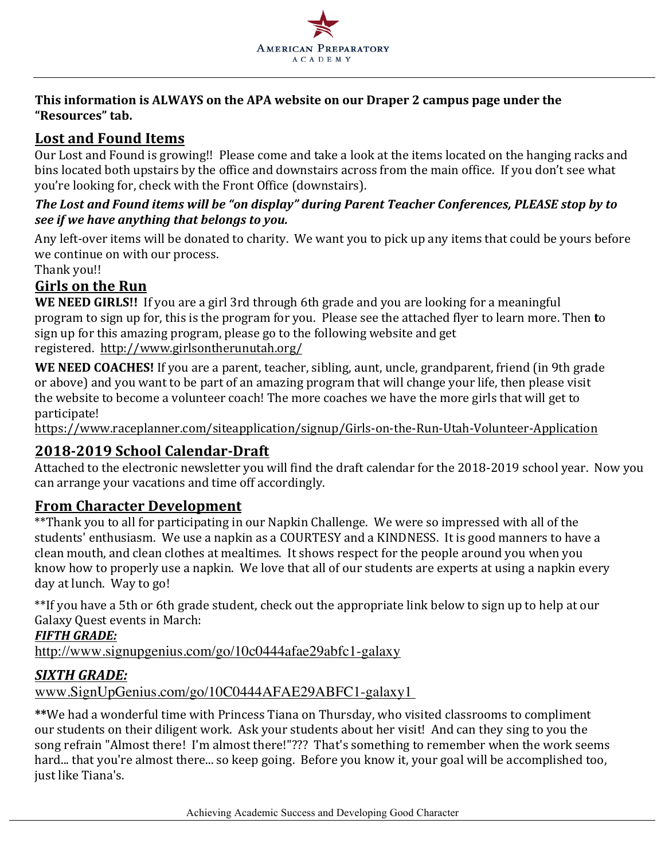

### This information is ALWAYS on the APA website on our Draper 2 campus page under the **"Resources" tab.**

# Lost and Found Items

Our Lost and Found is growing!! Please come and take a look at the items located on the hanging racks and bins located both upstairs by the office and downstairs across from the main office. If you don't see what you're looking for, check with the Front Office (downstairs).

## The Lost and Found items will be "on display" during Parent Teacher Conferences, PLEASE stop by to *see if* we have anything that belongs to you.

Any left-over items will be donated to charity. We want you to pick up any items that could be yours before we continue on with our process.

Thank you!!

# **Girls on the Run**

**WE NEED GIRLS!!** If you are a girl 3rd through 6th grade and you are looking for a meaningful program to sign up for, this is the program for you. Please see the attached flyer to learn more. Then **t**o sign up for this amazing program, please go to the following website and get registered. http://www.girlsontherunutah.org/

**WE NEED COACHES!** If you are a parent, teacher, sibling, aunt, uncle, grandparent, friend (in 9th grade or above) and you want to be part of an amazing program that will change your life, then please visit the website to become a volunteer coach! The more coaches we have the more girls that will get to participate!

https://www.raceplanner.com/siteapplication/signup/Girls-on-the-Run-Utah-Volunteer-Application

# **2018-2019 School Calendar-Draft**

Attached to the electronic newsletter you will find the draft calendar for the 2018-2019 school year. Now you can arrange your vacations and time off accordingly.

# **From Character Development**

\*\*Thank you to all for participating in our Napkin Challenge. We were so impressed with all of the students' enthusiasm. We use a napkin as a COURTESY and a KINDNESS. It is good manners to have a clean mouth, and clean clothes at mealtimes. It shows respect for the people around you when you know how to properly use a napkin. We love that all of our students are experts at using a napkin every day at lunch. Way to go!

\*\*If you have a 5th or 6th grade student, check out the appropriate link below to sign up to help at our Galaxy Quest events in March:

## *FIFTH GRADE:*

http://www.signupgenius.com/go/10c0444afae29abfc1-galaxy

# *SIXTH GRADE:*

www.SignUpGenius.com/go/10C0444AFAE29ABFC1-galaxy1

\*\*We had a wonderful time with Princess Tiana on Thursday, who visited classrooms to compliment our students on their diligent work. Ask your students about her visit! And can they sing to you the song refrain "Almost there! I'm almost there!"??? That's something to remember when the work seems hard... that you're almost there... so keep going. Before you know it, your goal will be accomplished too, just like Tiana's.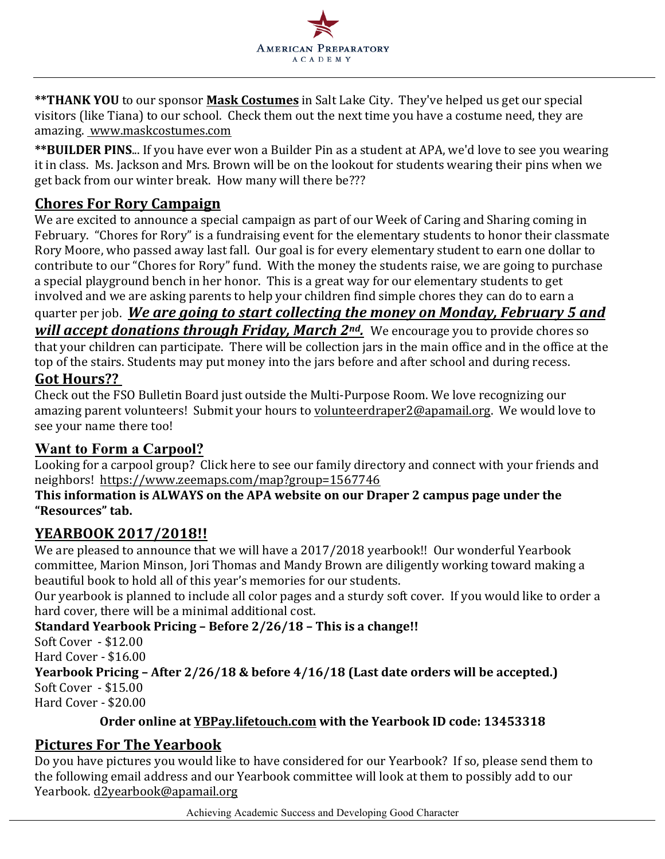

**\*\*THANK YOU** to our sponsor **Mask Costumes** in Salt Lake City. They've helped us get our special visitors (like Tiana) to our school. Check them out the next time you have a costume need, they are amazing. www.maskcostumes.com

\*\* **BUILDER PINS...** If you have ever won a Builder Pin as a student at APA, we'd love to see you wearing it in class. Ms. Jackson and Mrs. Brown will be on the lookout for students wearing their pins when we get back from our winter break. How many will there be???

# **Chores For Rory Campaign**

We are excited to announce a special campaign as part of our Week of Caring and Sharing coming in February. "Chores for Rory" is a fundraising event for the elementary students to honor their classmate Rory Moore, who passed away last fall. Our goal is for every elementary student to earn one dollar to contribute to our "Chores for Rory" fund. With the money the students raise, we are going to purchase a special playground bench in her honor. This is a great way for our elementary students to get involved and we are asking parents to help your children find simple chores they can do to earn a

# quarter per job. *We are going to start collecting the money on Monday, February 5 and will accept donations through Friday, March 2<sup>nd</sup>.* We encourage you to provide chores so

that your children can participate. There will be collection jars in the main office and in the office at the top of the stairs. Students may put money into the jars before and after school and during recess.

## **Got Hours??**

Check out the FSO Bulletin Board just outside the Multi-Purpose Room. We love recognizing our amazing parent volunteers! Submit your hours to volunteerdraper2@apamail.org. We would love to see your name there too!

## **Want to Form a Carpool?**

Looking for a carpool group? Click here to see our family directory and connect with your friends and neighbors! https://www.zeemaps.com/map?group=1567746

#### This information is ALWAYS on the APA website on our Draper 2 campus page under the **"Resources" tab.**

## **YEARBOOK 2017/2018!!**

We are pleased to announce that we will have a 2017/2018 yearbook!! Our wonderful Yearbook committee, Marion Minson, Jori Thomas and Mandy Brown are diligently working toward making a beautiful book to hold all of this year's memories for our students.

Our yearbook is planned to include all color pages and a sturdy soft cover. If you would like to order a hard cover, there will be a minimal additional cost.

## **Standard Yearbook Pricing – Before 2/26/18 – This is a change!!**

 $SoftCover - $12.00$ 

Hard Cover - \$16.00

**Yearbook Pricing - After 2/26/18 & before 4/16/18 (Last date orders will be accepted.)**  $SoftCover - $15.00$ 

Hard Cover - \$20.00

## **Order online at YBPay.lifetouch.com** with the Yearbook ID code: 13453318

# **Pictures For The Yearbook**

Do you have pictures you would like to have considered for our Yearbook? If so, please send them to the following email address and our Yearbook committee will look at them to possibly add to our Yearbook. d2yearbook@apamail.org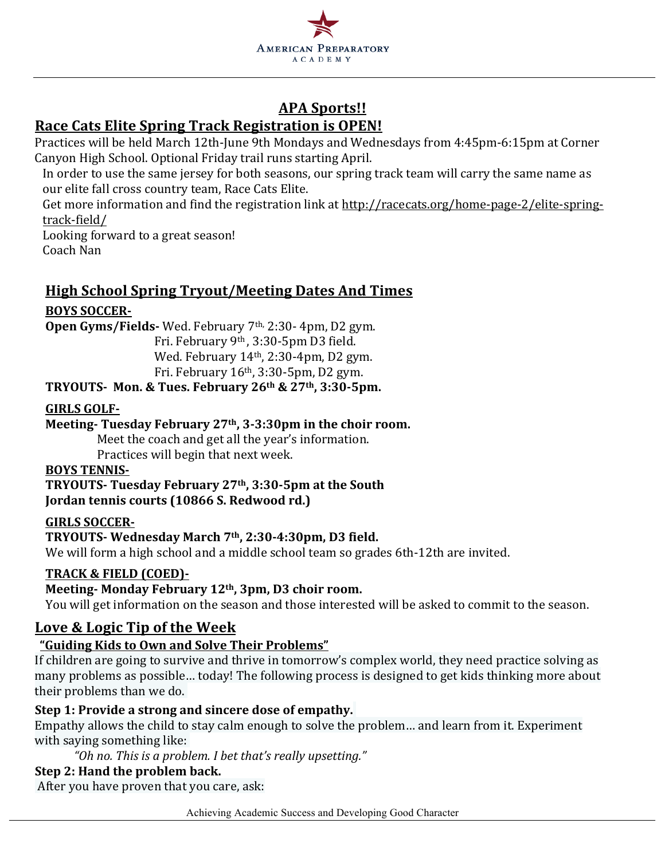

# **APA Sports!!**

# **Race Cats Elite Spring Track Registration is OPEN!**

Practices will be held March 12th-June 9th Mondays and Wednesdays from 4:45pm-6:15pm at Corner Canyon High School. Optional Friday trail runs starting April.

In order to use the same jersey for both seasons, our spring track team will carry the same name as our elite fall cross country team, Race Cats Elite.

Get more information and find the registration link at http://racecats.org/home-page-2/elite-springtrack-field/

Looking forward to a great season! Coach Nan

# **High School Spring Tryout/Meeting Dates And Times**

## **BOYS SOCCER-**

**Open Gyms/Fields-** Wed. February 7<sup>th,</sup> 2:30- 4pm, D2 gym.

Fri. February 9<sup>th</sup>, 3:30-5pm D3 field. Wed. February  $14<sup>th</sup>$ , 2:30-4pm, D2 gym.

Fri. February  $16<sup>th</sup>$ , 3:30-5pm, D2 gym.

## **TRYOUTS- Mon. & Tues. February 26th & 27th, 3:30-5pm.**

## **GIRLS GOLF-**

## Meeting-Tuesday February 27<sup>th</sup>, 3-3:30pm in the choir room.

Meet the coach and get all the year's information.

Practices will begin that next week.

## **BOYS TENNIS-**

**TRYOUTS- Tuesday February 27th, 3:30-5pm at the South Jordan tennis courts (10866 S. Redwood rd.)** 

#### **GIRLS SOCCER-**

#### **TRYOUTS- Wednesday March 7th, 2:30-4:30pm, D3 field.**

We will form a high school and a middle school team so grades 6th-12th are invited.

## **TRACK & FIELD (COED)-**

## Meeting- Monday February 12<sup>th</sup>, 3pm, D3 choir room.

You will get information on the season and those interested will be asked to commit to the season.

## Love & Logic Tip of the Week

## **"Guiding Kids to Own and Solve Their Problems"**

If children are going to survive and thrive in tomorrow's complex world, they need practice solving as many problems as possible... today! The following process is designed to get kids thinking more about their problems than we do.

## **Step 1: Provide a strong and sincere dose of empathy.**

Empathy allows the child to stay calm enough to solve the problem... and learn from it. Experiment with saying something like:

 *"Oh no. This is a problem. I bet that's really upsetting."*

#### **Step 2: Hand the problem back.**

After you have proven that you care, ask:

Achieving Academic Success and Developing Good Character